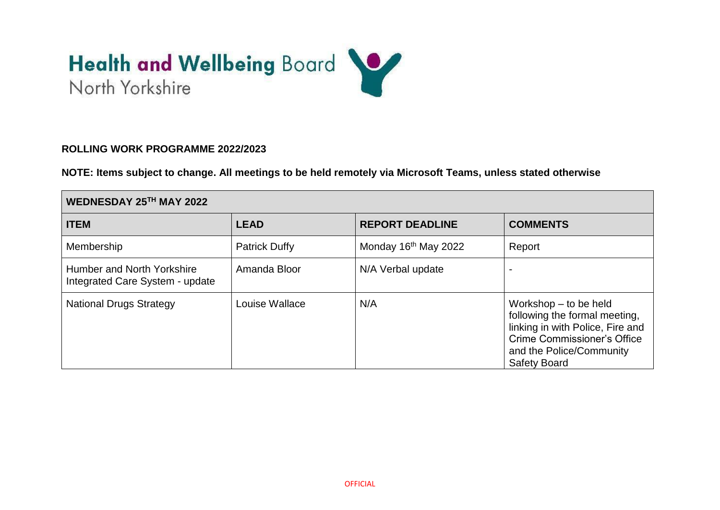# Health and Wellbeing Board

### **ROLLING WORK PROGRAMME 2022/2023**

**NOTE: Items subject to change. All meetings to be held remotely via Microsoft Teams, unless stated otherwise**

| WEDNESDAY 25TH MAY 2022                                       |                      |                                  |                                                                                                                                                                                |
|---------------------------------------------------------------|----------------------|----------------------------------|--------------------------------------------------------------------------------------------------------------------------------------------------------------------------------|
| <b>ITEM</b>                                                   | <b>LEAD</b>          | <b>REPORT DEADLINE</b>           | <b>COMMENTS</b>                                                                                                                                                                |
| Membership                                                    | <b>Patrick Duffy</b> | Monday 16 <sup>th</sup> May 2022 | Report                                                                                                                                                                         |
| Humber and North Yorkshire<br>Integrated Care System - update | Amanda Bloor         | N/A Verbal update                |                                                                                                                                                                                |
| <b>National Drugs Strategy</b>                                | Louise Wallace       | N/A                              | Workshop $-$ to be held<br>following the formal meeting,<br>linking in with Police, Fire and<br>Crime Commissioner's Office<br>and the Police/Community<br><b>Safety Board</b> |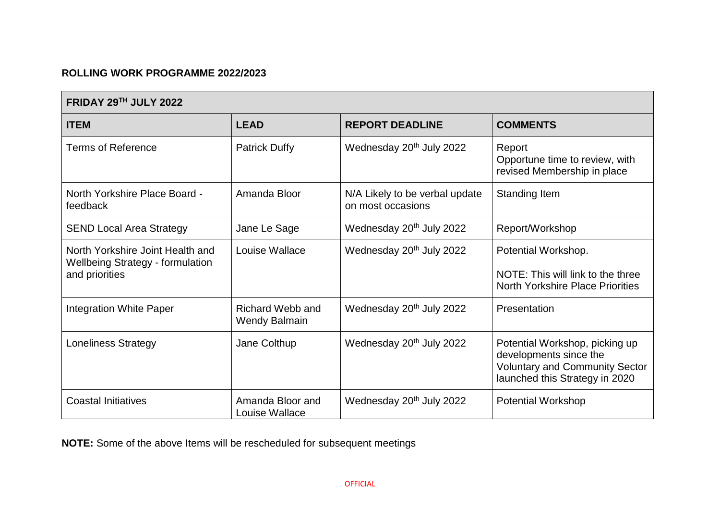# **ROLLING WORK PROGRAMME 2022/2023**

| FRIDAY 29TH JULY 2022                                                                         |                                                 |                                                     |                                                                                                                                     |
|-----------------------------------------------------------------------------------------------|-------------------------------------------------|-----------------------------------------------------|-------------------------------------------------------------------------------------------------------------------------------------|
| <b>ITEM</b>                                                                                   | <b>LEAD</b>                                     | <b>REPORT DEADLINE</b>                              | <b>COMMENTS</b>                                                                                                                     |
| <b>Terms of Reference</b>                                                                     | <b>Patrick Duffy</b>                            | Wednesday 20 <sup>th</sup> July 2022                | Report<br>Opportune time to review, with<br>revised Membership in place                                                             |
| North Yorkshire Place Board -<br>feedback                                                     | Amanda Bloor                                    | N/A Likely to be verbal update<br>on most occasions | Standing Item                                                                                                                       |
| <b>SEND Local Area Strategy</b>                                                               | Jane Le Sage                                    | Wednesday 20 <sup>th</sup> July 2022                | Report/Workshop                                                                                                                     |
| North Yorkshire Joint Health and<br><b>Wellbeing Strategy - formulation</b><br>and priorities | Louise Wallace                                  | Wednesday 20 <sup>th</sup> July 2022                | Potential Workshop.<br>NOTE: This will link to the three<br><b>North Yorkshire Place Priorities</b>                                 |
| <b>Integration White Paper</b>                                                                | <b>Richard Webb and</b><br><b>Wendy Balmain</b> | Wednesday 20 <sup>th</sup> July 2022                | Presentation                                                                                                                        |
| <b>Loneliness Strategy</b>                                                                    | Jane Colthup                                    | Wednesday 20 <sup>th</sup> July 2022                | Potential Workshop, picking up<br>developments since the<br><b>Voluntary and Community Sector</b><br>launched this Strategy in 2020 |
| <b>Coastal Initiatives</b>                                                                    | Amanda Bloor and<br>Louise Wallace              | Wednesday 20 <sup>th</sup> July 2022                | <b>Potential Workshop</b>                                                                                                           |

**NOTE:** Some of the above Items will be rescheduled for subsequent meetings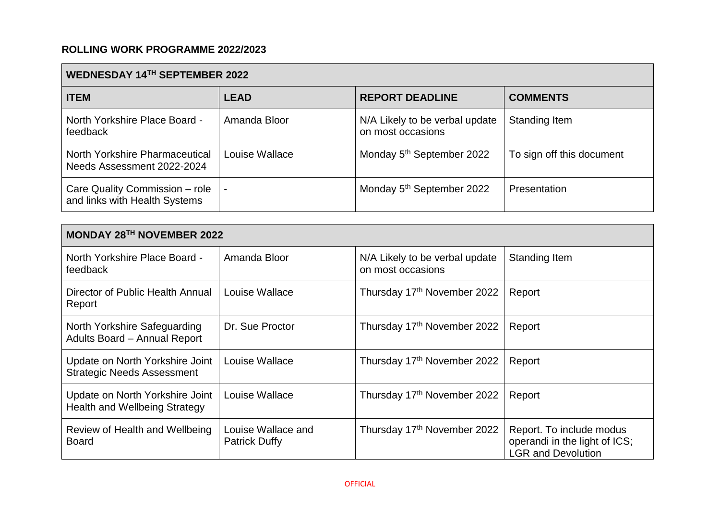# **ROLLING WORK PROGRAMME 2022/2023**

| WEDNESDAY 14TH SEPTEMBER 2022                                   |                |                                                     |                           |
|-----------------------------------------------------------------|----------------|-----------------------------------------------------|---------------------------|
| <b>ITEM</b>                                                     | <b>LEAD</b>    | <b>REPORT DEADLINE</b>                              | <b>COMMENTS</b>           |
| North Yorkshire Place Board -<br>feedback                       | Amanda Bloor   | N/A Likely to be verbal update<br>on most occasions | Standing Item             |
| North Yorkshire Pharmaceutical<br>Needs Assessment 2022-2024    | Louise Wallace | Monday 5 <sup>th</sup> September 2022               | To sign off this document |
| Care Quality Commission - role<br>and links with Health Systems |                | Monday 5 <sup>th</sup> September 2022               | Presentation              |

| <b>MONDAY 28TH NOVEMBER 2022</b>                                        |                                            |                                                     |                                                                                        |
|-------------------------------------------------------------------------|--------------------------------------------|-----------------------------------------------------|----------------------------------------------------------------------------------------|
| North Yorkshire Place Board -<br>feedback                               | Amanda Bloor                               | N/A Likely to be verbal update<br>on most occasions | Standing Item                                                                          |
| Director of Public Health Annual<br>Report                              | Louise Wallace                             | Thursday 17th November 2022                         | Report                                                                                 |
| North Yorkshire Safeguarding<br>Adults Board - Annual Report            | Dr. Sue Proctor                            | Thursday 17th November 2022                         | Report                                                                                 |
| Update on North Yorkshire Joint<br><b>Strategic Needs Assessment</b>    | Louise Wallace                             | Thursday 17th November 2022                         | Report                                                                                 |
| Update on North Yorkshire Joint<br><b>Health and Wellbeing Strategy</b> | Louise Wallace                             | Thursday 17th November 2022                         | Report                                                                                 |
| Review of Health and Wellbeing<br><b>Board</b>                          | Louise Wallace and<br><b>Patrick Duffy</b> | Thursday 17th November 2022                         | Report. To include modus<br>operandi in the light of ICS;<br><b>LGR and Devolution</b> |